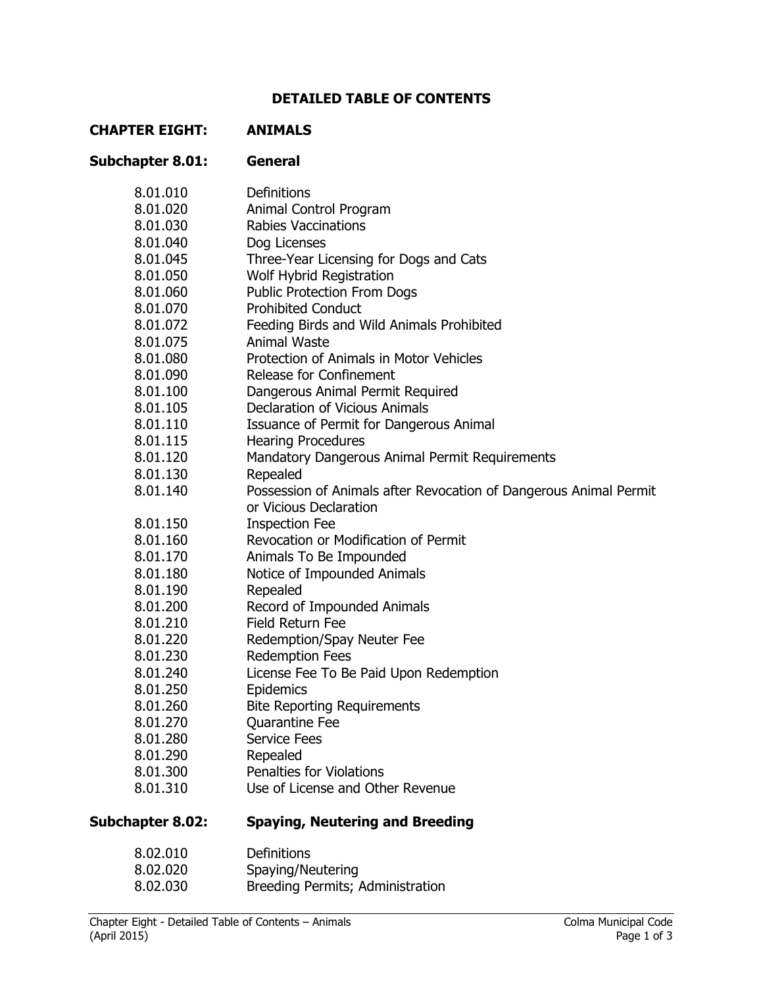# **DETAILED TABLE OF CONTENTS**

### **CHAPTER EIGHT: ANIMALS**

## **Subchapter 8.01: General**

| 8.01.010                | Definitions                                                       |
|-------------------------|-------------------------------------------------------------------|
| 8.01.020                | Animal Control Program                                            |
| 8.01.030                | <b>Rabies Vaccinations</b>                                        |
| 8.01.040                | Dog Licenses                                                      |
| 8.01.045                | Three-Year Licensing for Dogs and Cats                            |
| 8.01.050                | Wolf Hybrid Registration                                          |
| 8.01.060                | <b>Public Protection From Dogs</b>                                |
| 8.01.070                | <b>Prohibited Conduct</b>                                         |
| 8.01.072                | Feeding Birds and Wild Animals Prohibited                         |
| 8.01.075                | <b>Animal Waste</b>                                               |
| 8.01.080                | Protection of Animals in Motor Vehicles                           |
| 8.01.090                | Release for Confinement                                           |
| 8.01.100                | Dangerous Animal Permit Required                                  |
| 8.01.105                | <b>Declaration of Vicious Animals</b>                             |
| 8.01.110                | Issuance of Permit for Dangerous Animal                           |
| 8.01.115                | <b>Hearing Procedures</b>                                         |
| 8.01.120                | Mandatory Dangerous Animal Permit Requirements                    |
| 8.01.130                | Repealed                                                          |
| 8.01.140                | Possession of Animals after Revocation of Dangerous Animal Permit |
|                         | or Vicious Declaration                                            |
| 8.01.150                | <b>Inspection Fee</b>                                             |
| 8.01.160                | Revocation or Modification of Permit                              |
| 8.01.170                | Animals To Be Impounded                                           |
| 8.01.180                | Notice of Impounded Animals                                       |
| 8.01.190                | Repealed                                                          |
| 8.01.200                | Record of Impounded Animals                                       |
| 8.01.210                | <b>Field Return Fee</b>                                           |
| 8.01.220                | Redemption/Spay Neuter Fee                                        |
| 8.01.230                | <b>Redemption Fees</b>                                            |
| 8.01.240                | License Fee To Be Paid Upon Redemption                            |
| 8.01.250                | Epidemics                                                         |
| 8.01.260                | <b>Bite Reporting Requirements</b>                                |
| 8.01.270                | Quarantine Fee                                                    |
| 8.01.280                | <b>Service Fees</b>                                               |
| 8.01.290                | Repealed                                                          |
| 8.01.300                | <b>Penalties for Violations</b>                                   |
| 8.01.310                | Use of License and Other Revenue                                  |
| <b>Subchapter 8.02:</b> | <b>Spaying, Neutering and Breeding</b>                            |
| 8.02.010                | <b>Definitions</b>                                                |
| 8.02.020                | Spaying/Neutering                                                 |

8.02.030 Breeding Permits; Administration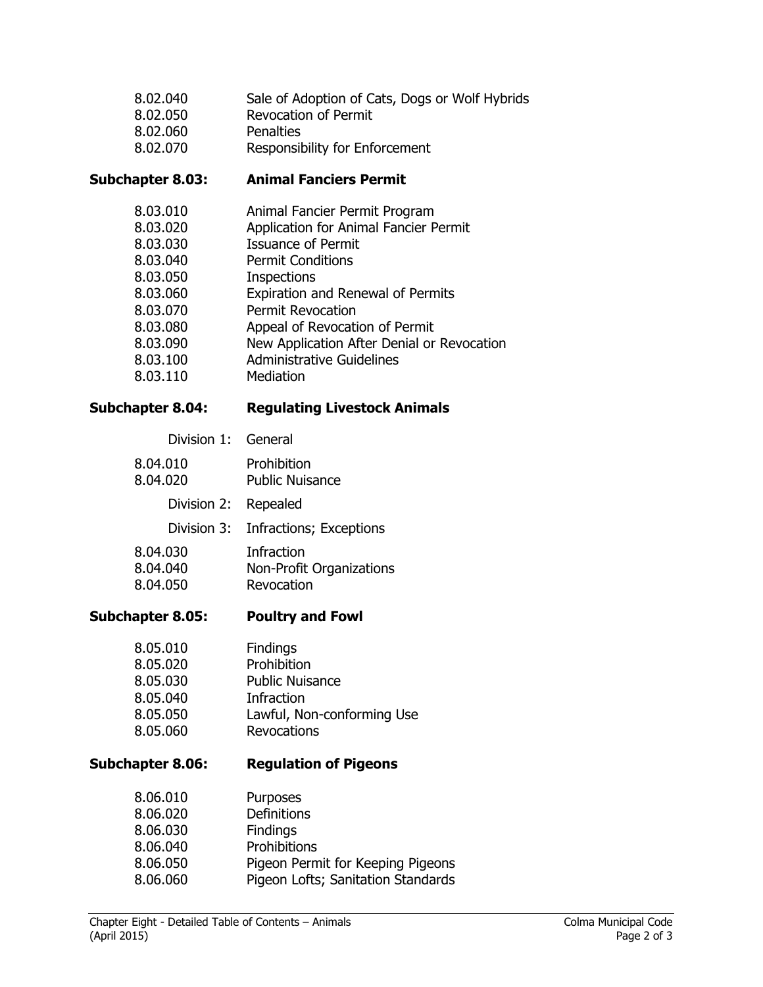| 8.02.040 | Sale of Adoption of Cats, Dogs or Wolf Hybrids |
|----------|------------------------------------------------|
| 8.02.050 | <b>Revocation of Permit</b>                    |
| 8.02.060 | Penalties                                      |
| 8.02.070 | Responsibility for Enforcement                 |

## **Subchapter 8.03: Animal Fanciers Permit**

| 8.03.010 | Animal Fancier Permit Program              |
|----------|--------------------------------------------|
| 8.03.020 | Application for Animal Fancier Permit      |
| 8.03.030 | <b>Issuance of Permit</b>                  |
| 8.03.040 | <b>Permit Conditions</b>                   |
| 8.03.050 | <b>Inspections</b>                         |
| 8.03.060 | Expiration and Renewal of Permits          |
| 8.03.070 | <b>Permit Revocation</b>                   |
| 8.03.080 | Appeal of Revocation of Permit             |
| 8.03.090 | New Application After Denial or Revocation |
| 8.03.100 | <b>Administrative Guidelines</b>           |
| 8.03.110 | Mediation                                  |
|          |                                            |

## **Subchapter 8.04: Regulating Livestock Animals**

# Division 1: General

| 8.04.010<br>8.04.020             | Prohibition<br><b>Public Nuisance</b>                              |
|----------------------------------|--------------------------------------------------------------------|
| Division 2:                      | Repealed                                                           |
| Division 3:                      | Infractions; Exceptions                                            |
| 8.04.030<br>8.04.040<br>8.04.050 | <b>Infraction</b><br><b>Non-Profit Organizations</b><br>Revocation |

# **Subchapter 8.05: Poultry and Fowl**

| 8.05.010 | <b>Findings</b>            |
|----------|----------------------------|
| 8.05.020 | Prohibition                |
| 8.05.030 | <b>Public Nuisance</b>     |
| 8.05.040 | Infraction                 |
| 8.05.050 | Lawful, Non-conforming Use |
| 8.05.060 | Revocations                |

# **Subchapter 8.06: Regulation of Pigeons**

| 8.06.010 | <b>Purposes</b>                    |
|----------|------------------------------------|
| 8.06.020 | Definitions                        |
| 8.06.030 | <b>Findings</b>                    |
| 8.06.040 | Prohibitions                       |
| 8.06.050 | Pigeon Permit for Keeping Pigeons  |
| 8.06.060 | Pigeon Lofts; Sanitation Standards |
|          |                                    |